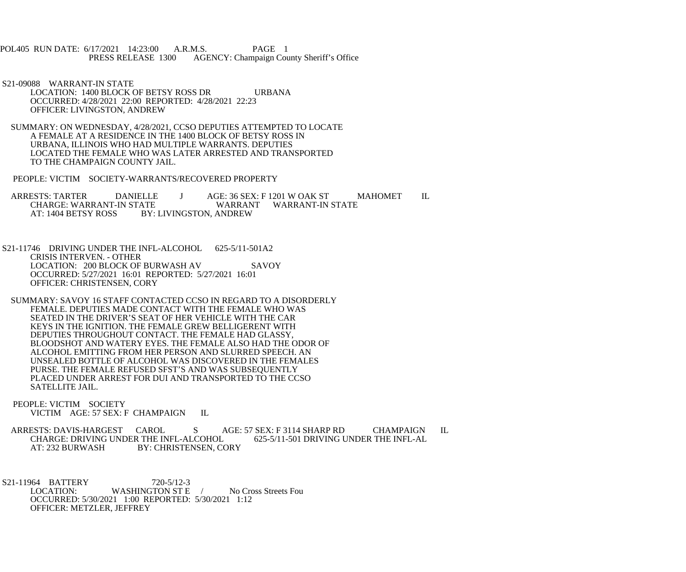POL405 RUN DATE: 6/17/2021 14:23:00 A.R.M.S. PAGE 1 PRESS RELEASE 1300 AGENCY: Champaign County Sheriff's Office

 S21-09088 WARRANT-IN STATE LOCATION: 1400 BLOCK OF BETSY ROSS DR URBANA OCCURRED: 4/28/2021 22:00 REPORTED: 4/28/2021 22:23 OFFICER: LIVINGSTON, ANDREW

 SUMMARY: ON WEDNESDAY, 4/28/2021, CCSO DEPUTIES ATTEMPTED TO LOCATE A FEMALE AT A RESIDENCE IN THE 1400 BLOCK OF BETSY ROSS IN URBANA, ILLINOIS WHO HAD MULTIPLE WARRANTS. DEPUTIES LOCATED THE FEMALE WHO WAS LATER ARRESTED AND TRANSPORTED TO THE CHAMPAIGN COUNTY JAIL.

PEOPLE: VICTIM SOCIETY-WARRANTS/RECOVERED PROPERTY

ARRESTS: TARTER DANIELLE J AGE: 36 SEX: F 1201 W OAK ST MAHOMET IL CHARGE: WARRANT-IN STATE CHARGE: WARRANT-IN STATE WARRANT WARRANT-IN STATE<br>AT: 1404 BETSY ROSS BY: LIVINGSTON. ANDREW BY: LIVINGSTON, ANDREW

S21-11746 DRIVING UNDER THE INFL-ALCOHOL 625-5/11-501A2 CRISIS INTERVEN. - OTHER LOCATION: 200 BLOCK OF BURWASH AV SAVOY OCCURRED: 5/27/2021 16:01 REPORTED: 5/27/2021 16:01 OFFICER: CHRISTENSEN, CORY

 SUMMARY: SAVOY 16 STAFF CONTACTED CCSO IN REGARD TO A DISORDERLY FEMALE. DEPUTIES MADE CONTACT WITH THE FEMALE WHO WAS SEATED IN THE DRIVER'S SEAT OF HER VEHICLE WITH THE CAR KEYS IN THE IGNITION. THE FEMALE GREW BELLIGERENT WITH DEPUTIES THROUGHOUT CONTACT. THE FEMALE HAD GLASSY, BLOODSHOT AND WATERY EYES. THE FEMALE ALSO HAD THE ODOR OF ALCOHOL EMITTING FROM HER PERSON AND SLURRED SPEECH. AN UNSEALED BOTTLE OF ALCOHOL WAS DISCOVERED IN THE FEMALES PURSE. THE FEMALE REFUSED SFST'S AND WAS SUBSEQUENTLY PLACED UNDER ARREST FOR DUI AND TRANSPORTED TO THE CCSO SATELLITE JAIL.

 PEOPLE: VICTIM SOCIETY VICTIM AGE: 57 SEX: F CHAMPAIGN IL

ARRESTS: DAVIS-HARGEST CAROL S AGE: 57 SEX: F 3114 SHARP RD CHAMPAIGN IL<br>CHARGE: DRIVING UNDER THE INFL-ALCOHOL 625-5/11-501 DRIVING UNDER THE INFL-AL CHARGE: DRIVING UNDER THE INFL-ALCOHOL AT: 232 BURWASH BY: CHRISTENSEN, CORY

 S21-11964 BATTERY 720-5/12-3 LOCATION: WASHINGTON ST E / No Cross Streets Fou OCCURRED: 5/30/2021 1:00 REPORTED: 5/30/2021 1:12 OFFICER: METZLER, JEFFREY